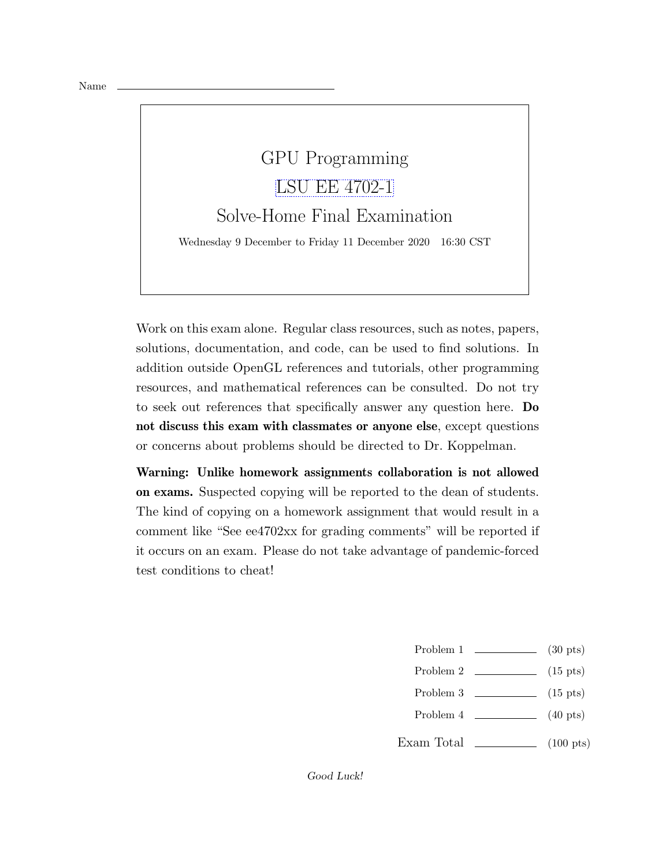## GPU Programming [LSU EE 4702-1](https://www.ece.lsu.edu/koppel/gpup/) Solve-Home Final Examination

Wednesday 9 December to Friday 11 December 2020 16:30 CST

Work on this exam alone. Regular class resources, such as notes, papers, solutions, documentation, and code, can be used to find solutions. In addition outside OpenGL references and tutorials, other programming resources, and mathematical references can be consulted. Do not try to seek out references that specifically answer any question here. Do not discuss this exam with classmates or anyone else, except questions or concerns about problems should be directed to Dr. Koppelman.

Warning: Unlike homework assignments collaboration is not allowed on exams. Suspected copying will be reported to the dean of students. The kind of copying on a homework assignment that would result in a comment like "See ee4702xx for grading comments" will be reported if it occurs on an exam. Please do not take advantage of pandemic-forced test conditions to cheat!

- Problem 1 (30 pts)
- Problem 2  $\qquad \qquad$  (15 pts)
- Problem  $3 \t\t(15 \text{ pts})$
- Problem 4 (40 pts)
- Exam Total  $\qquad \qquad$  (100 pts)

Good Luck!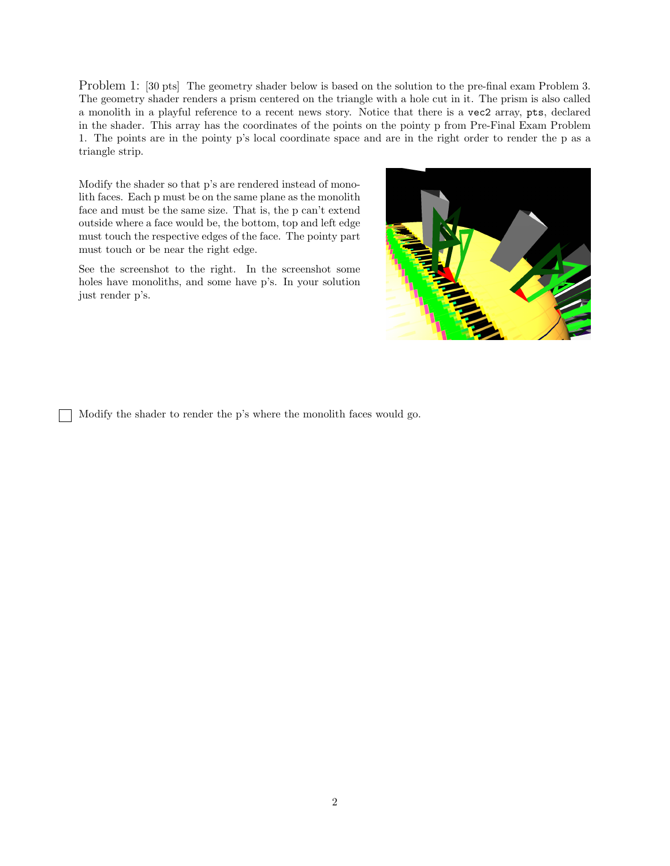Problem 1: [30 pts] The geometry shader below is based on the solution to the pre-final exam Problem 3. The geometry shader renders a prism centered on the triangle with a hole cut in it. The prism is also called a monolith in a playful reference to a recent news story. Notice that there is a vec2 array, pts, declared in the shader. This array has the coordinates of the points on the pointy p from Pre-Final Exam Problem 1. The points are in the pointy p's local coordinate space and are in the right order to render the p as a triangle strip.

Modify the shader so that p's are rendered instead of monolith faces. Each p must be on the same plane as the monolith face and must be the same size. That is, the p can't extend outside where a face would be, the bottom, top and left edge must touch the respective edges of the face. The pointy part must touch or be near the right edge.

See the screenshot to the right. In the screenshot some holes have monoliths, and some have p's. In your solution just render p's.



Modify the shader to render the p's where the monolith faces would go.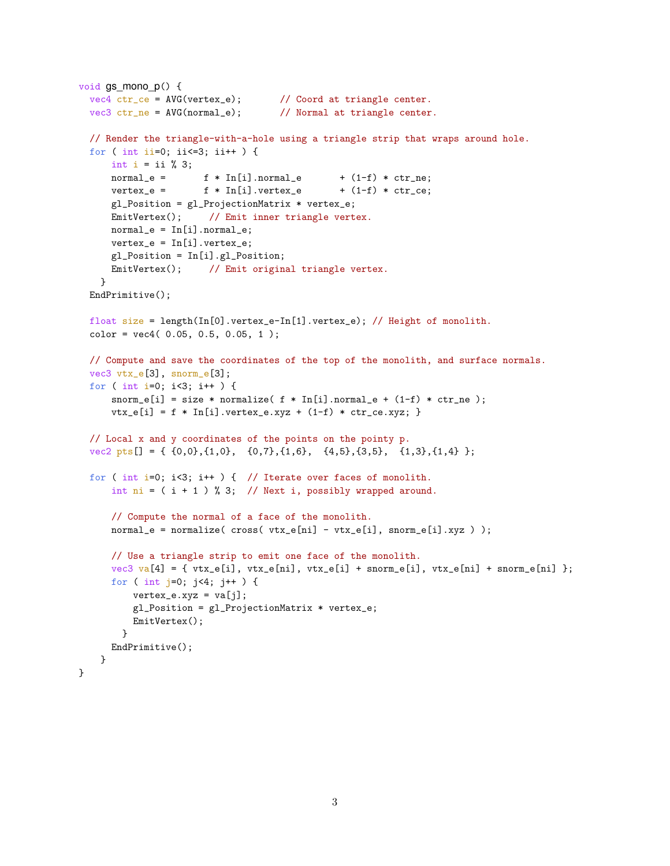```
void qs mono p() {
 vec4 ctr_ce = AVG(vertex_e); // Coord at triangle center.
 vec3 ctr_ne = AVG(normal_e); // Normal at triangle center.
 // Render the triangle-with-a-hole using a triangle strip that wraps around hole.
 for ( int ii=0; ii<=3; ii++ ) {
     int i = ii \, % \, 3;normal_e = f * In[i].normal_e + (1-f) * ctr_ne;vertex_e = f * In[i].vertex_e + (1-f) * ctr_ce;
     gl_Position = gl_ProjectionMatrix * vertex_e;
     EmitVertex(); // Emit inner triangle vertex.
     normal_e = In[i].normal_e;vertex_e = In[i].vertex_e;gl_Position = In[i].gl_Position;
     EmitVertex(); // Emit original triangle vertex.
   }
 EndPrimitive();
 float size = length(In[0].vertex_e-In[1].vertex_e); // Height of monolith.
 color = vec4(0.05, 0.5, 0.05, 1);// Compute and save the coordinates of the top of the monolith, and surface normals.
 vec3 vtx_e[3], snorm_e[3];
  for ( int i=0; i<3; i++ ) {
     snorm_e[i] = size * normalize( f * In[i].normal_e + (1-f) * ctr_ne);
     vtx_e[i] = f * In[i].vertex_e.xyz + (1-f) * cr_rce.xyz;// Local x and y coordinates of the points on the pointy p.
 vec2 pts[] = { \{0,0\},\{1,0\}, \{0,7\},\{1,6\}, \{4,5\},\{3,5\}, \{1,3\},\{1,4\} };
 for ( int i=0; i<3; i++ ) { // Iterate over faces of monolith.
     int ni = (i + 1) % 3; // Next i, possibly wrapped around.
     // Compute the normal of a face of the monolith.
     normal_e = normalize( cross( vtx_e[ni] - vtx_e[i], snorm_e[i].xyz ) );
     // Use a triangle strip to emit one face of the monolith.
     vec3 va[4] = { vtx_e[i], vtx_e[ni], vtx_e[i] + snorm_e[i], vtx_e[ni] + snorm_e[ni] };
     for ( int j=0; j<4; j++ ) {
         vertex_e.xyz = va[j];
         gl_Position = gl_ProjectionMatrix * vertex_e;
         EmitVertex();
       }
     EndPrimitive();
   }
}
```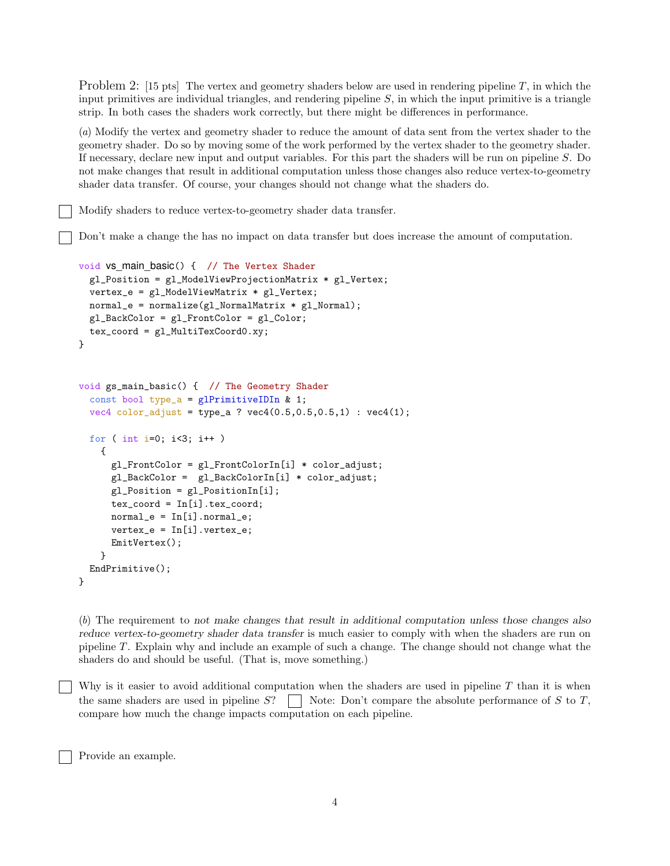Problem 2: [15 pts] The vertex and geometry shaders below are used in rendering pipeline T, in which the input primitives are individual triangles, and rendering pipeline  $S$ , in which the input primitive is a triangle strip. In both cases the shaders work correctly, but there might be differences in performance.

(a) Modify the vertex and geometry shader to reduce the amount of data sent from the vertex shader to the geometry shader. Do so by moving some of the work performed by the vertex shader to the geometry shader. If necessary, declare new input and output variables. For this part the shaders will be run on pipeline S. Do not make changes that result in additional computation unless those changes also reduce vertex-to-geometry shader data transfer. Of course, your changes should not change what the shaders do.

Modify shaders to reduce vertex-to-geometry shader data transfer.

Don't make a change the has no impact on data transfer but does increase the amount of computation.

```
void vs main basic() { // The Vertex Shader
  gl_Position = gl_ModelViewProjectionMatrix * gl_Vertex;
  vertex_e = gl_ModelViewMatrix * gl_Vertex;
  normal_e = normalize(gl_NormalMatrix * gl_Normal);
  gl_BackColor = gl_FrontColor = gl_Color;
  tex_coord = gl_MultiTexCoord0.xy;
}
void gs_main_basic() { // The Geometry Shader
  const bool type_a = glPrimitiveIDIn & 1;
  vec4 color_adjust = type_a ? vec4(0.5, 0.5, 0.5, 1) : vec4(1);
  for ( int i=0; i<3; i++ )
    {
      gl_FrontColor = gl_FrontColorIn[i] * color_adjust;gl_BackColor = gl_BackColorIn[i] * color_adjust;
      gl_Position = gl_PositionIn[i];
      tex_coord = In[i].tex_coord;
      normal_e = In[i].normal_e;vertex_e = In[i].vertex_e;
      EmitVertex();
    }
  EndPrimitive();
}
```
(b) The requirement to not make changes that result in additional computation unless those changes also reduce vertex-to-geometry shader data transfer is much easier to comply with when the shaders are run on pipeline T. Explain why and include an example of such a change. The change should not change what the shaders do and should be useful. (That is, move something.)

Why is it easier to avoid additional computation when the shaders are used in pipeline  $T$  than it is when the same shaders are used in pipeline  $S$ ?  $\parallel$  Note: Don't compare the absolute performance of S to T, compare how much the change impacts computation on each pipeline.

Provide an example.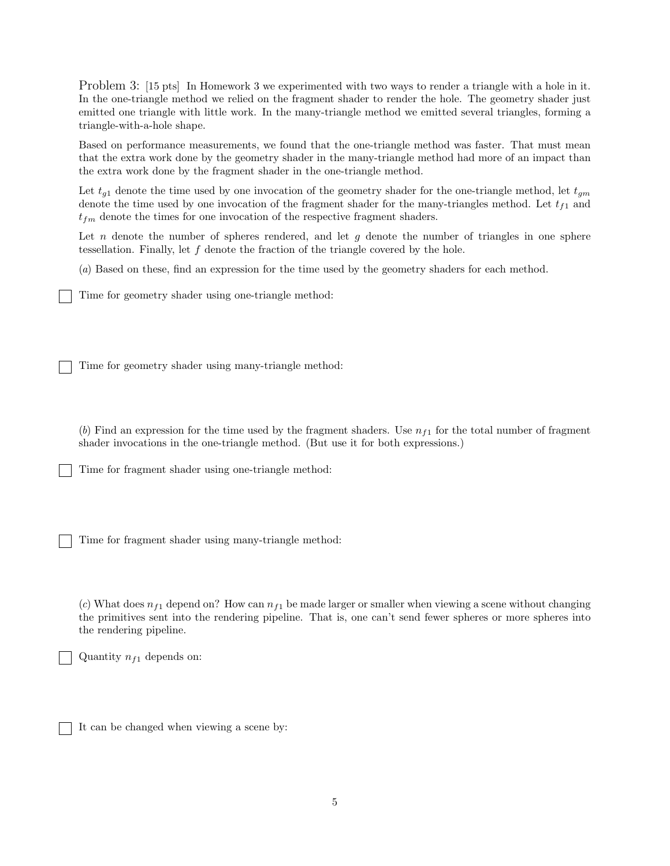Problem 3: [15 pts] In Homework 3 we experimented with two ways to render a triangle with a hole in it. In the one-triangle method we relied on the fragment shader to render the hole. The geometry shader just emitted one triangle with little work. In the many-triangle method we emitted several triangles, forming a triangle-with-a-hole shape.

Based on performance measurements, we found that the one-triangle method was faster. That must mean that the extra work done by the geometry shader in the many-triangle method had more of an impact than the extra work done by the fragment shader in the one-triangle method.

Let  $t_{g1}$  denote the time used by one invocation of the geometry shader for the one-triangle method, let  $t_{gm}$ denote the time used by one invocation of the fragment shader for the many-triangles method. Let  $t_{f1}$  and  $t_{fm}$  denote the times for one invocation of the respective fragment shaders.

Let  $n$  denote the number of spheres rendered, and let  $g$  denote the number of triangles in one sphere tessellation. Finally, let f denote the fraction of the triangle covered by the hole.

(a) Based on these, find an expression for the time used by the geometry shaders for each method.

Time for geometry shader using one-triangle method:

Time for geometry shader using many-triangle method:

(b) Find an expression for the time used by the fragment shaders. Use  $n_{f1}$  for the total number of fragment shader invocations in the one-triangle method. (But use it for both expressions.)

Time for fragment shader using one-triangle method:

Time for fragment shader using many-triangle method:

(c) What does  $n_{f1}$  depend on? How can  $n_{f1}$  be made larger or smaller when viewing a scene without changing the primitives sent into the rendering pipeline. That is, one can't send fewer spheres or more spheres into the rendering pipeline.

Quantity  $n_{f1}$  depends on:

It can be changed when viewing a scene by: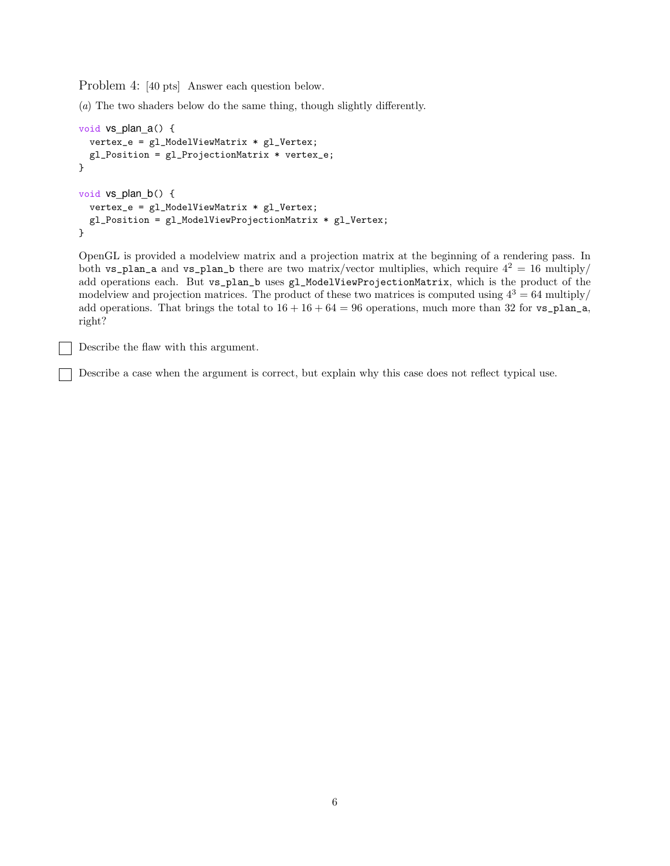Problem 4: [40 pts] Answer each question below.

(a) The two shaders below do the same thing, though slightly differently.

```
void vs_plan_a() {
  vertex_e = gl_ModelViewMatrix * gl_Vertex;
  gl_Position = gl_ProjectionMatrix * vertex_e;
}
void vs_plan_b() {
  vertex_e = gl_ModelViewMatrix * gl_Vertex;
  gl_Position = gl_ModelViewProjectionMatrix * gl_Vertex;
}
```
OpenGL is provided a modelview matrix and a projection matrix at the beginning of a rendering pass. In both vs\_plan\_a and vs\_plan\_b there are two matrix/vector multiplies, which require  $4^2 = 16$  multiply/ add operations each. But vs\_plan\_b uses gl\_ModelViewProjectionMatrix, which is the product of the modelview and projection matrices. The product of these two matrices is computed using  $4^3 = 64$  multiply/ add operations. That brings the total to  $16 + 16 + 64 = 96$  operations, much more than 32 for vs\_plan\_a, right?

Describe the flaw with this argument.

Describe a case when the argument is correct, but explain why this case does not reflect typical use.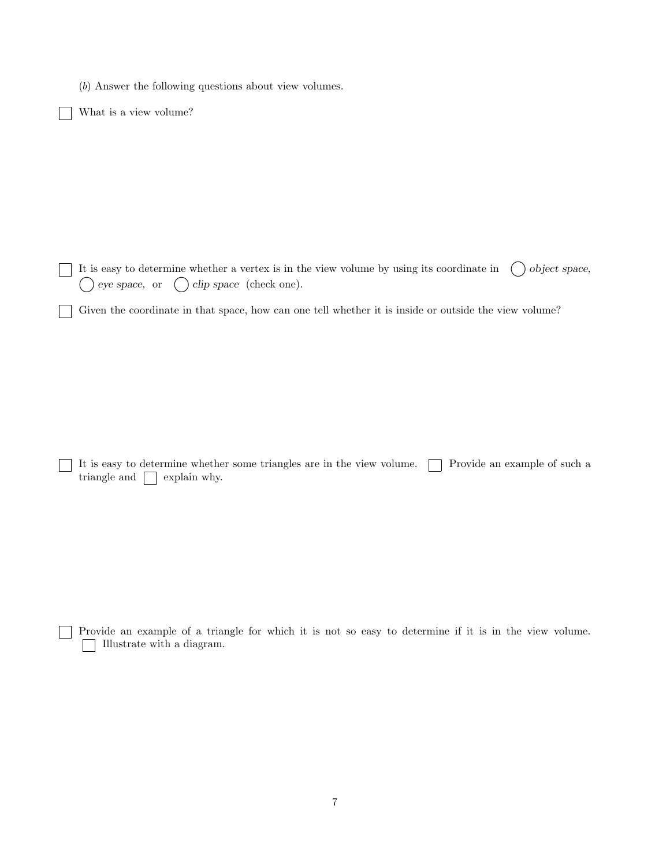(b) Answer the following questions about view volumes.

What is a view volume?

It is easy to determine whether a vertex is in the view volume by using its coordinate in  $\bigcirc$  object space,  $\bigcirc$  eye space, or  $\bigcirc$  clip space (check one).

Given the coordinate in that space, how can one tell whether it is inside or outside the view volume?

It is easy to determine whether some triangles are in the view volume.  $\Box$  Provide an example of such a triangle and  $\Box$  explain why.

Provide an example of a triangle for which it is not so easy to determine if it is in the view volume. Illustrate with a diagram.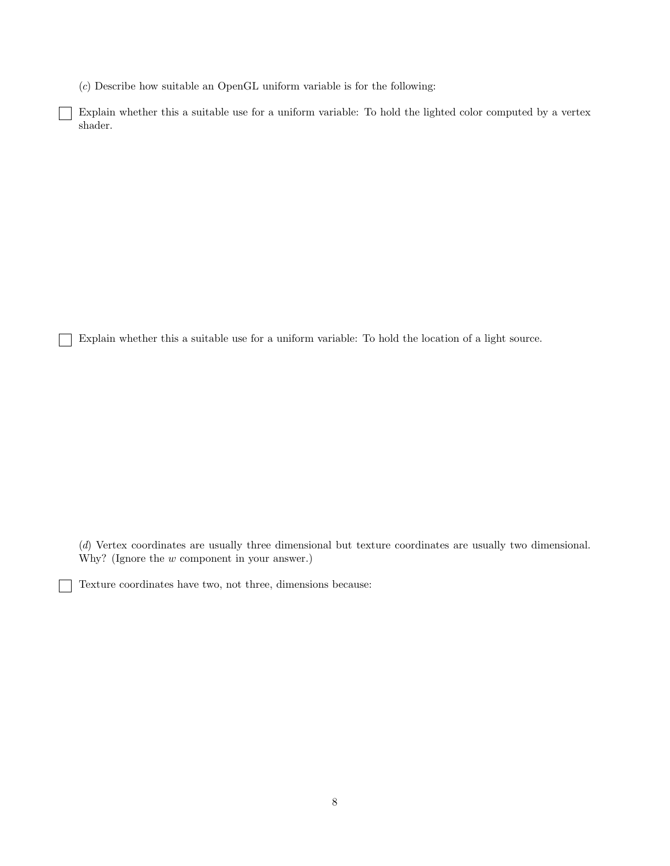(c) Describe how suitable an OpenGL uniform variable is for the following:

Explain whether this a suitable use for a uniform variable: To hold the lighted color computed by a vertex shader.

Explain whether this a suitable use for a uniform variable: To hold the location of a light source.

(d) Vertex coordinates are usually three dimensional but texture coordinates are usually two dimensional. Why? (Ignore the w component in your answer.)

Texture coordinates have two, not three, dimensions because: